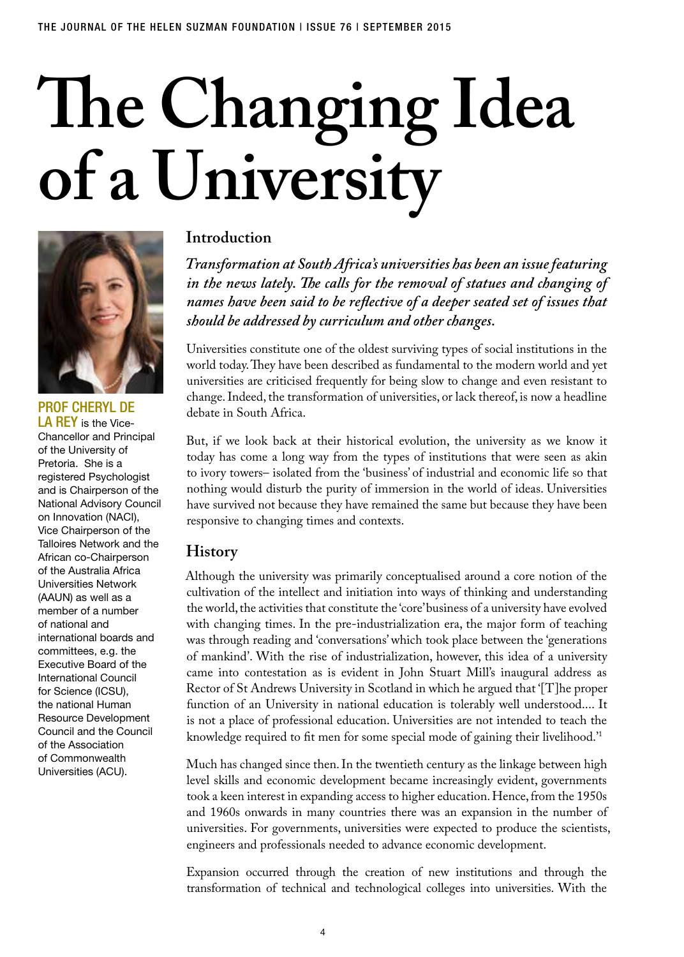# **The Changing Idea of a University**



PROF CHERYL DE LA REY is the Vice-Chancellor and Principal of the University of Pretoria. She is a registered Psychologist and is Chairperson of the National Advisory Council on Innovation (NACI), Vice Chairperson of the Talloires Network and the African co-Chairperson of the Australia Africa Universities Network (AAUN) as well as a member of a number of national and international boards and committees, e.g. the Executive Board of the International Council for Science (ICSU), the national Human Resource Development Council and the Council of the Association of Commonwealth Universities (ACU).

# **Introduction**

*Transformation at South Africa's universities has been an issue featuring in the news lately. The calls for the removal of statues and changing of names have been said to be reflective of a deeper seated set of issues that should be addressed by curriculum and other changes.* 

Universities constitute one of the oldest surviving types of social institutions in the world today. They have been described as fundamental to the modern world and yet universities are criticised frequently for being slow to change and even resistant to change. Indeed, the transformation of universities, or lack thereof, is now a headline debate in South Africa.

But, if we look back at their historical evolution, the university as we know it today has come a long way from the types of institutions that were seen as akin to ivory towers– isolated from the 'business' of industrial and economic life so that nothing would disturb the purity of immersion in the world of ideas. Universities have survived not because they have remained the same but because they have been responsive to changing times and contexts.

## **History**

Although the university was primarily conceptualised around a core notion of the cultivation of the intellect and initiation into ways of thinking and understanding the world, the activities that constitute the 'core' business of a university have evolved with changing times. In the pre-industrialization era, the major form of teaching was through reading and 'conversations' which took place between the 'generations of mankind'. With the rise of industrialization, however, this idea of a university came into contestation as is evident in John Stuart Mill's inaugural address as Rector of St Andrews University in Scotland in which he argued that '[T]he proper function of an University in national education is tolerably well understood.... It is not a place of professional education. Universities are not intended to teach the knowledge required to fit men for some special mode of gaining their livelihood.'1

Much has changed since then. In the twentieth century as the linkage between high level skills and economic development became increasingly evident, governments took a keen interest in expanding access to higher education. Hence, from the 1950s and 1960s onwards in many countries there was an expansion in the number of universities. For governments, universities were expected to produce the scientists, engineers and professionals needed to advance economic development.

Expansion occurred through the creation of new institutions and through the transformation of technical and technological colleges into universities. With the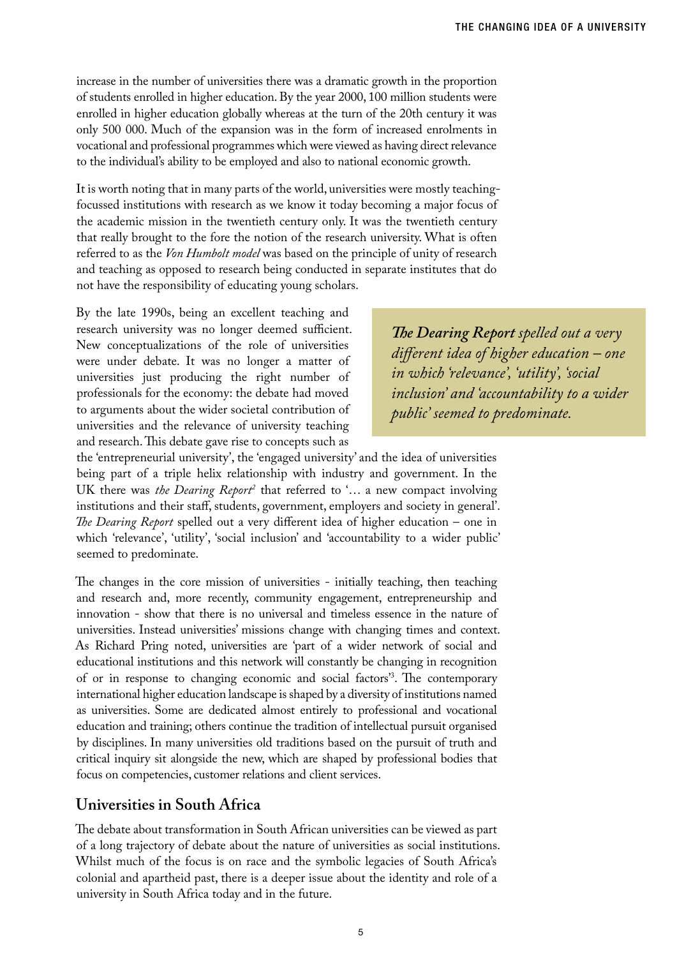increase in the number of universities there was a dramatic growth in the proportion of students enrolled in higher education. By the year 2000, 100 million students were enrolled in higher education globally whereas at the turn of the 20th century it was only 500 000. Much of the expansion was in the form of increased enrolments in vocational and professional programmes which were viewed as having direct relevance to the individual's ability to be employed and also to national economic growth.

It is worth noting that in many parts of the world, universities were mostly teachingfocussed institutions with research as we know it today becoming a major focus of the academic mission in the twentieth century only. It was the twentieth century that really brought to the fore the notion of the research university. What is often referred to as the *Von Humbolt model* was based on the principle of unity of research and teaching as opposed to research being conducted in separate institutes that do not have the responsibility of educating young scholars.

By the late 1990s, being an excellent teaching and research university was no longer deemed sufficient. New conceptualizations of the role of universities were under debate. It was no longer a matter of universities just producing the right number of professionals for the economy: the debate had moved to arguments about the wider societal contribution of universities and the relevance of university teaching and research. This debate gave rise to concepts such as

*The Dearing Report spelled out a very different idea of higher education – one in which 'relevance', 'utility', 'social inclusion' and 'accountability to a wider public' seemed to predominate.* 

the 'entrepreneurial university', the 'engaged university' and the idea of universities being part of a triple helix relationship with industry and government. In the UK there was *the Dearing Report*<sup>2</sup> that referred to '... a new compact involving institutions and their staff, students, government, employers and society in general'. *The Dearing Report* spelled out a very different idea of higher education – one in which 'relevance', 'utility', 'social inclusion' and 'accountability to a wider public' seemed to predominate.

The changes in the core mission of universities - initially teaching, then teaching and research and, more recently, community engagement, entrepreneurship and innovation - show that there is no universal and timeless essence in the nature of universities. Instead universities' missions change with changing times and context. As Richard Pring noted, universities are 'part of a wider network of social and educational institutions and this network will constantly be changing in recognition of or in response to changing economic and social factors'3 . The contemporary international higher education landscape is shaped by a diversity of institutions named as universities. Some are dedicated almost entirely to professional and vocational education and training; others continue the tradition of intellectual pursuit organised by disciplines. In many universities old traditions based on the pursuit of truth and critical inquiry sit alongside the new, which are shaped by professional bodies that focus on competencies, customer relations and client services.

# **Universities in South Africa**

The debate about transformation in South African universities can be viewed as part of a long trajectory of debate about the nature of universities as social institutions. Whilst much of the focus is on race and the symbolic legacies of South Africa's colonial and apartheid past, there is a deeper issue about the identity and role of a university in South Africa today and in the future.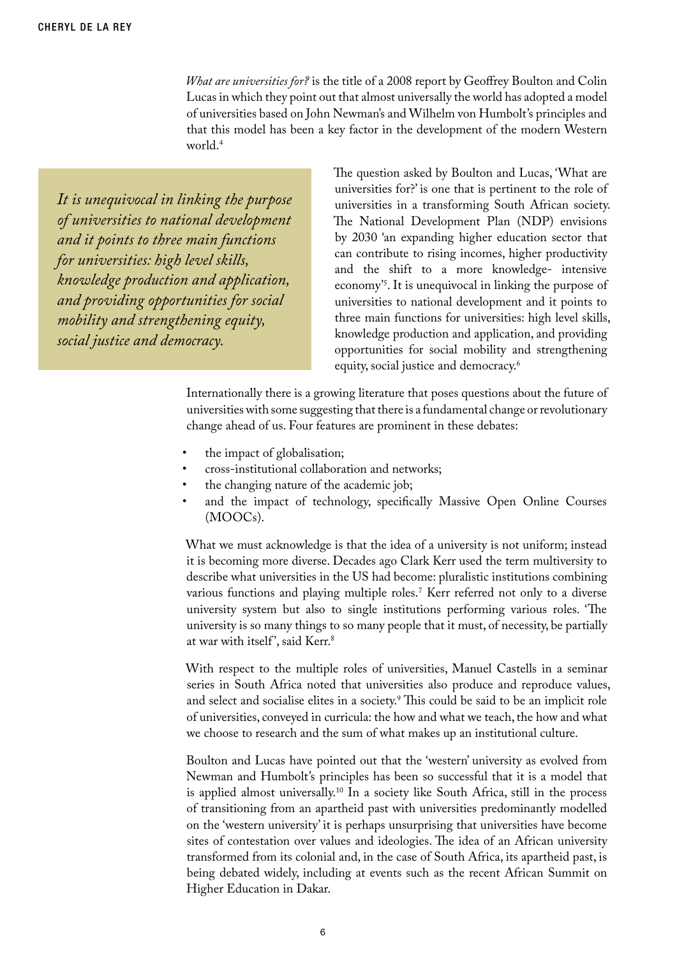*What are universities for?* is the title of a 2008 report by Geoffrey Boulton and Colin Lucas in which they point out that almost universally the world has adopted a model of universities based on John Newman's and Wilhelm von Humbolt's principles and that this model has been a key factor in the development of the modern Western world.<sup>4</sup>

*It is unequivocal in linking the purpose of universities to national development and it points to three main functions for universities: high level skills, knowledge production and application, and providing opportunities for social mobility and strengthening equity, social justice and democracy.*

The question asked by Boulton and Lucas, 'What are universities for?' is one that is pertinent to the role of universities in a transforming South African society. The National Development Plan (NDP) envisions by 2030 'an expanding higher education sector that can contribute to rising incomes, higher productivity and the shift to a more knowledge- intensive economy'5 . It is unequivocal in linking the purpose of universities to national development and it points to three main functions for universities: high level skills, knowledge production and application, and providing opportunities for social mobility and strengthening equity, social justice and democracy.6

Internationally there is a growing literature that poses questions about the future of universities with some suggesting that there is a fundamental change or revolutionary change ahead of us. Four features are prominent in these debates:

- the impact of globalisation;
- cross-institutional collaboration and networks;
- the changing nature of the academic job;
- and the impact of technology, specifically Massive Open Online Courses (MOOCs).

What we must acknowledge is that the idea of a university is not uniform; instead it is becoming more diverse. Decades ago Clark Kerr used the term multiversity to describe what universities in the US had become: pluralistic institutions combining various functions and playing multiple roles.7 Kerr referred not only to a diverse university system but also to single institutions performing various roles. 'The university is so many things to so many people that it must, of necessity, be partially at war with itself', said Kerr.<sup>8</sup>

With respect to the multiple roles of universities, Manuel Castells in a seminar series in South Africa noted that universities also produce and reproduce values, and select and socialise elites in a society.<sup>9</sup> This could be said to be an implicit role of universities, conveyed in curricula: the how and what we teach, the how and what we choose to research and the sum of what makes up an institutional culture.

Boulton and Lucas have pointed out that the 'western' university as evolved from Newman and Humbolt's principles has been so successful that it is a model that is applied almost universally.10 In a society like South Africa, still in the process of transitioning from an apartheid past with universities predominantly modelled on the 'western university' it is perhaps unsurprising that universities have become sites of contestation over values and ideologies. The idea of an African university transformed from its colonial and, in the case of South Africa, its apartheid past, is being debated widely, including at events such as the recent African Summit on Higher Education in Dakar.